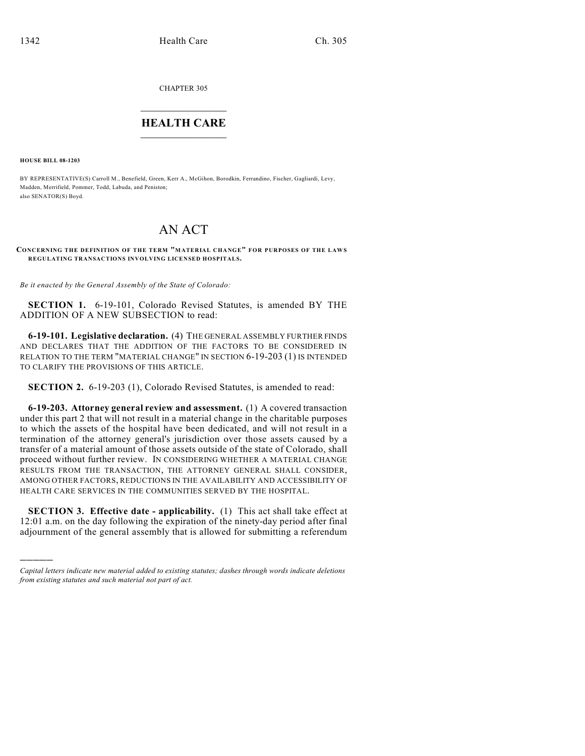CHAPTER 305

## $\mathcal{L}_\text{max}$  . The set of the set of the set of the set of the set of the set of the set of the set of the set of the set of the set of the set of the set of the set of the set of the set of the set of the set of the set **HEALTH CARE**  $\_$   $\_$   $\_$   $\_$   $\_$   $\_$   $\_$   $\_$   $\_$   $\_$

**HOUSE BILL 08-1203**

)))))

BY REPRESENTATIVE(S) Carroll M., Benefield, Green, Kerr A., McGihon, Borodkin, Ferrandino, Fischer, Gagliardi, Levy, Madden, Merrifield, Pommer, Todd, Labuda, and Peniston; also SENATOR(S) Boyd.

## AN ACT

## **CONCERNING THE DEFINITION OF THE TERM "MATERIAL CHANGE" FOR PURPOSES OF THE LAW S REGULATING TRANSACTIONS INVOLVING LICENSED HOSPITALS.**

*Be it enacted by the General Assembly of the State of Colorado:*

**SECTION 1.** 6-19-101, Colorado Revised Statutes, is amended BY THE ADDITION OF A NEW SUBSECTION to read:

**6-19-101. Legislative declaration.** (4) THE GENERAL ASSEMBLY FURTHER FINDS AND DECLARES THAT THE ADDITION OF THE FACTORS TO BE CONSIDERED IN RELATION TO THE TERM "MATERIAL CHANGE" IN SECTION 6-19-203 (1) IS INTENDED TO CLARIFY THE PROVISIONS OF THIS ARTICLE.

**SECTION 2.** 6-19-203 (1), Colorado Revised Statutes, is amended to read:

**6-19-203. Attorney general review and assessment.** (1) A covered transaction under this part 2 that will not result in a material change in the charitable purposes to which the assets of the hospital have been dedicated, and will not result in a termination of the attorney general's jurisdiction over those assets caused by a transfer of a material amount of those assets outside of the state of Colorado, shall proceed without further review. IN CONSIDERING WHETHER A MATERIAL CHANGE RESULTS FROM THE TRANSACTION, THE ATTORNEY GENERAL SHALL CONSIDER, AMONG OTHER FACTORS, REDUCTIONS IN THE AVAILABILITY AND ACCESSIBILITY OF HEALTH CARE SERVICES IN THE COMMUNITIES SERVED BY THE HOSPITAL.

**SECTION 3. Effective date - applicability.** (1) This act shall take effect at 12:01 a.m. on the day following the expiration of the ninety-day period after final adjournment of the general assembly that is allowed for submitting a referendum

*Capital letters indicate new material added to existing statutes; dashes through words indicate deletions from existing statutes and such material not part of act.*